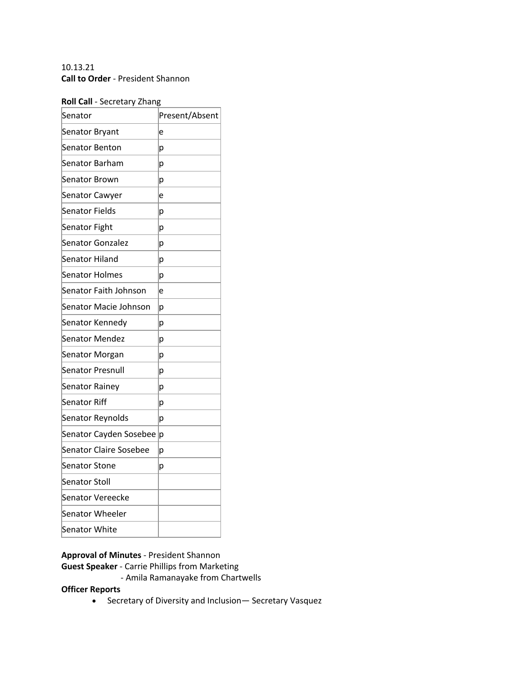## 10.13.21 **Call to Order** - President Shannon

### **Roll Call** - Secretary Zhang

| Senator                       | Present/Absent |
|-------------------------------|----------------|
| Senator Bryant                | e              |
| Senator Benton                | р              |
| Senator Barham                | p              |
| Senator Brown                 | р              |
| Senator Cawyer                | e              |
| Senator Fields                | р              |
| Senator Fight                 | р              |
| <b>Senator Gonzalez</b>       | р              |
| Senator Hiland                | p              |
| Senator Holmes                | р              |
| Senator Faith Johnson         | e              |
| Senator Macie Johnson         | р              |
| Senator Kennedy               | р              |
| <b>Senator Mendez</b>         | р              |
| Senator Morgan                | р              |
| <b>Senator Presnull</b>       | р              |
| Senator Rainey                | p              |
| Senator Riff                  | p              |
| Senator Reynolds              | р              |
| Senator Cayden Sosebee        | р              |
| <b>Senator Claire Sosebee</b> | р              |
| <b>Senator Stone</b>          | р              |
| Senator Stoll                 |                |
| <b>Senator Vereecke</b>       |                |
| Senator Wheeler               |                |
| <b>Senator White</b>          |                |

# **Approval of Minutes** - President Shannon

**Guest Speaker** - Carrie Phillips from Marketing

- Amila Ramanayake from Chartwells

## **Officer Reports**

• Secretary of Diversity and Inclusion— Secretary Vasquez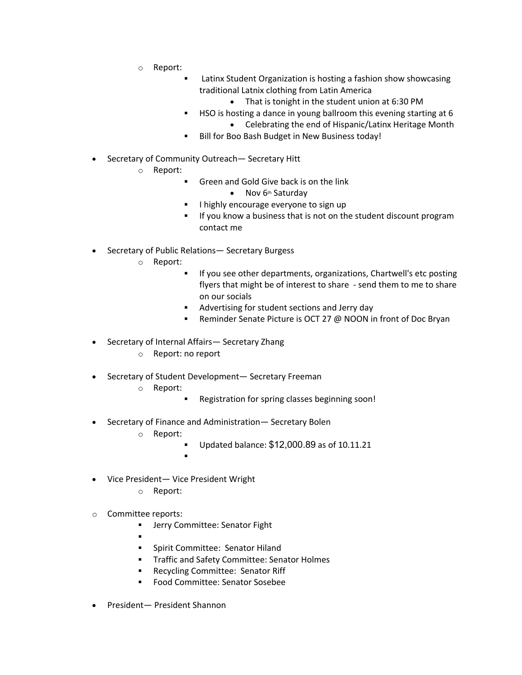- o Report:
	- Latinx Student Organization is hosting a fashion show showcasing traditional Latnix clothing from Latin America
		- That is tonight in the student union at 6:30 PM
	- **EXECT:** HSO is hosting a dance in young ballroom this evening starting at 6 • Celebrating the end of Hispanic/Latinx Heritage Month
	- Bill for Boo Bash Budget in New Business today!
- Secretary of Community Outreach— Secretary Hitt
	- o Report:
		- Green and Gold Give back is on the link
			- Nov 6<sup>th</sup> Saturday
		- I highly encourage everyone to sign up
		- If you know a business that is not on the student discount program contact me
- Secretary of Public Relations— Secretary Burgess
	- o Report:
		- § If you see other departments, organizations, Chartwell's etc posting flyers that might be of interest to share - send them to me to share on our socials
		- Advertising for student sections and Jerry day
		- Reminder Senate Picture is OCT 27 @ NOON in front of Doc Bryan
- Secretary of Internal Affairs— Secretary Zhang
	- o Report: no report
- Secretary of Student Development— Secretary Freeman
	- o Report:
		- Registration for spring classes beginning soon!
- Secretary of Finance and Administration— Secretary Bolen
	- o Report:
		- § Updated balance: \$12,000.89 as of 10.11.21
		- §
- Vice President— Vice President Wright
	- o Report:
- o Committee reports:
	- **■** Jerry Committee: Senator Fight
	- §
	- § Spirit Committee: Senator Hiland
	- **Traffic and Safety Committee: Senator Holmes**
	- Recycling Committee: Senator Riff
	- Food Committee: Senator Sosebee
- President— President Shannon